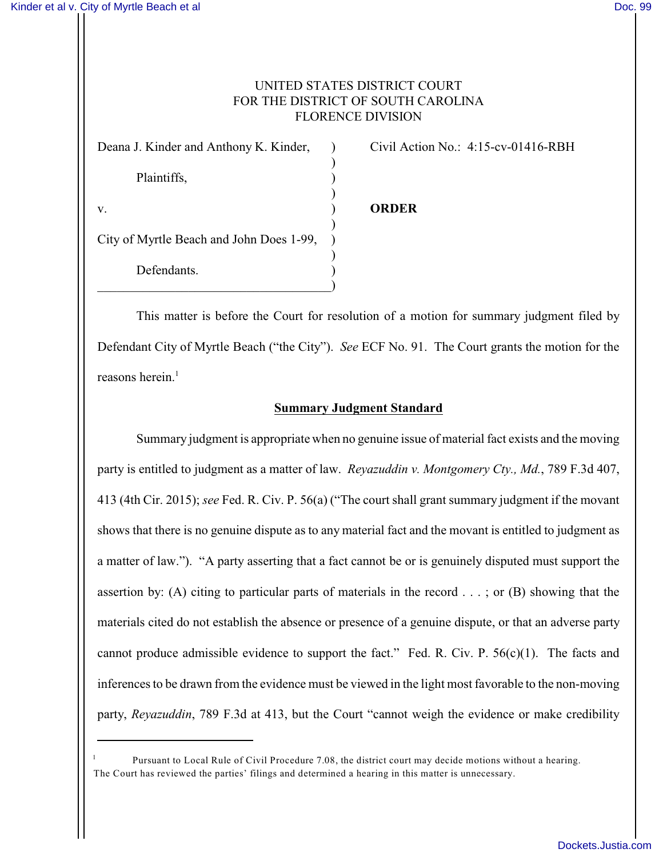## UNITED STATES DISTRICT COURT FOR THE DISTRICT OF SOUTH CAROLINA FLORENCE DIVISION

| Deana J. Kinder and Anthony K. Kinder,   |  |
|------------------------------------------|--|
| Plaintiffs,                              |  |
| V.                                       |  |
| City of Myrtle Beach and John Does 1-99, |  |
| Defendants.                              |  |

Civil Action No.: 4:15-cv-01416-RBH

## v. ) **ORDER**

This matter is before the Court for resolution of a motion for summary judgment filed by Defendant City of Myrtle Beach ("the City"). *See* ECF No. 91. The Court grants the motion for the reasons herein. $<sup>1</sup>$ </sup>

## **Summary Judgment Standard**

Summary judgment is appropriate when no genuine issue of material fact exists and the moving party is entitled to judgment as a matter of law. *Reyazuddin v. Montgomery Cty., Md.*, 789 F.3d 407, 413 (4th Cir. 2015); *see* Fed. R. Civ. P. 56(a) ("The court shall grant summary judgment if the movant shows that there is no genuine dispute as to any material fact and the movant is entitled to judgment as a matter of law."). "A party asserting that a fact cannot be or is genuinely disputed must support the assertion by: (A) citing to particular parts of materials in the record . . . ; or (B) showing that the materials cited do not establish the absence or presence of a genuine dispute, or that an adverse party cannot produce admissible evidence to support the fact." Fed. R. Civ. P.  $56(c)(1)$ . The facts and inferences to be drawn from the evidence must be viewed in the light most favorable to the non-moving party, *Reyazuddin*, 789 F.3d at 413, but the Court "cannot weigh the evidence or make credibility

Pursuant to Local Rule of Civil Procedure 7.08, the district court may decide motions without a hearing. <sup>1</sup> The Court has reviewed the parties' filings and determined a hearing in this matter is unnecessary.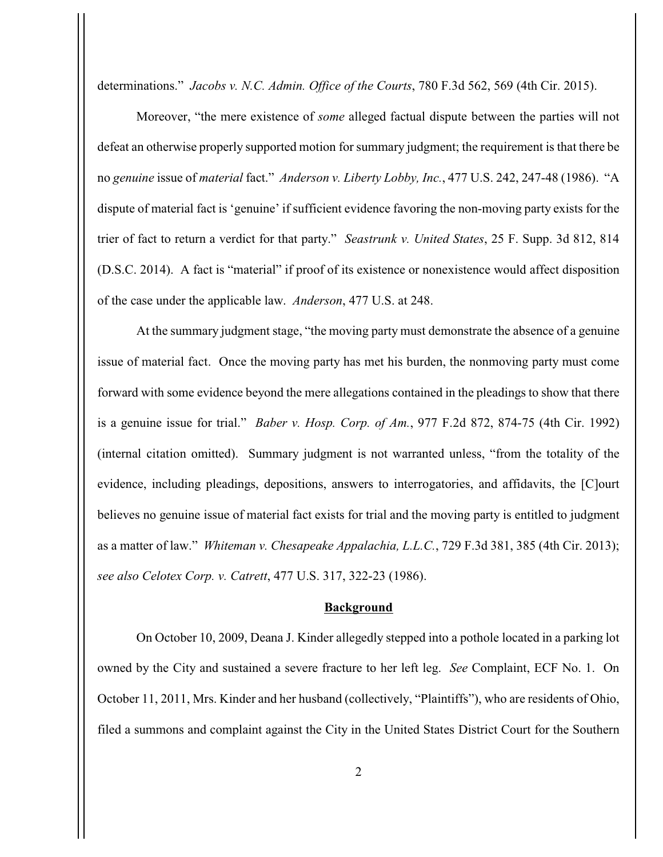determinations." *Jacobs v. N.C. Admin. Office of the Courts*, 780 F.3d 562, 569 (4th Cir. 2015).

Moreover, "the mere existence of *some* alleged factual dispute between the parties will not defeat an otherwise properly supported motion for summary judgment; the requirement is that there be no *genuine* issue of *material* fact." *Anderson v. Liberty Lobby, Inc.*, 477 U.S. 242, 247-48 (1986). "A dispute of material fact is 'genuine' if sufficient evidence favoring the non-moving party exists for the trier of fact to return a verdict for that party." *Seastrunk v. United States*, 25 F. Supp. 3d 812, 814 (D.S.C. 2014). A fact is "material" if proof of its existence or nonexistence would affect disposition of the case under the applicable law. *Anderson*, 477 U.S. at 248.

At the summary judgment stage, "the moving party must demonstrate the absence of a genuine issue of material fact. Once the moving party has met his burden, the nonmoving party must come forward with some evidence beyond the mere allegations contained in the pleadings to show that there is a genuine issue for trial." *Baber v. Hosp. Corp. of Am.*, 977 F.2d 872, 874-75 (4th Cir. 1992) (internal citation omitted). Summary judgment is not warranted unless, "from the totality of the evidence, including pleadings, depositions, answers to interrogatories, and affidavits, the [C]ourt believes no genuine issue of material fact exists for trial and the moving party is entitled to judgment as a matter of law." *Whiteman v. Chesapeake Appalachia, L.L.C.*, 729 F.3d 381, 385 (4th Cir. 2013); *see also Celotex Corp. v. Catrett*, 477 U.S. 317, 322-23 (1986).

## **Background**

On October 10, 2009, Deana J. Kinder allegedly stepped into a pothole located in a parking lot owned by the City and sustained a severe fracture to her left leg. *See* Complaint, ECF No. 1. On October 11, 2011, Mrs. Kinder and her husband (collectively, "Plaintiffs"), who are residents of Ohio, filed a summons and complaint against the City in the United States District Court for the Southern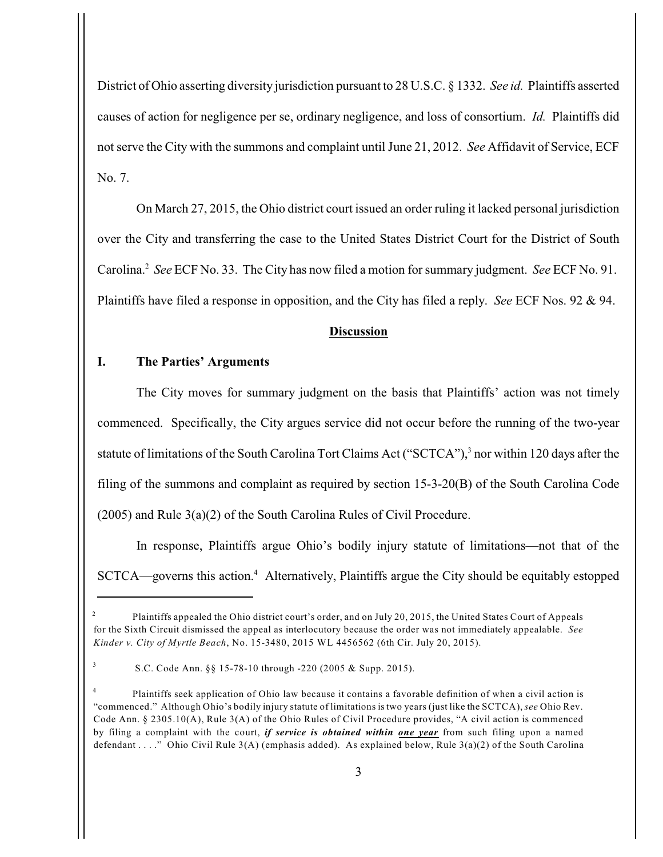District of Ohio asserting diversity jurisdiction pursuant to 28 U.S.C. § 1332. *See id.* Plaintiffs asserted causes of action for negligence per se, ordinary negligence, and loss of consortium. *Id.* Plaintiffs did not serve the City with the summons and complaint until June 21, 2012. *See* Affidavit of Service, ECF No. 7.

On March 27, 2015, the Ohio district court issued an order ruling it lacked personal jurisdiction over the City and transferring the case to the United States District Court for the District of South Carolina.<sup>2</sup> See ECF No. 33. The City has now filed a motion for summary judgment. *See* ECF No. 91. Plaintiffs have filed a response in opposition, and the City has filed a reply. *See* ECF Nos. 92 & 94.

### **Discussion**

## **I. The Parties' Arguments**

The City moves for summary judgment on the basis that Plaintiffs' action was not timely commenced. Specifically, the City argues service did not occur before the running of the two-year statute of limitations of the South Carolina Tort Claims Act ("SCTCA"),<sup>3</sup> nor within 120 days after the filing of the summons and complaint as required by section 15-3-20(B) of the South Carolina Code (2005) and Rule 3(a)(2) of the South Carolina Rules of Civil Procedure.

In response, Plaintiffs argue Ohio's bodily injury statute of limitations—not that of the  $SCTCA$ —governs this action.<sup>4</sup> Alternatively, Plaintiffs argue the City should be equitably estopped

Plaintiffs appealed the Ohio district court's order, and on July 20, 2015, the United States Court of Appeals <sup>2</sup> for the Sixth Circuit dismissed the appeal as interlocutory because the order was not immediately appealable. *See Kinder v. City of Myrtle Beach*, No. 15-3480, 2015 WL 4456562 (6th Cir. July 20, 2015).

S.C. Code Ann. §§ 15-78-10 through -220 (2005 & Supp. 2015). <sup>3</sup>

<sup>&</sup>lt;sup>4</sup> Plaintiffs seek application of Ohio law because it contains a favorable definition of when a civil action is "commenced." Although Ohio's bodily injury statute of limitations is two years (just like the SCTCA), *see* Ohio Rev. Code Ann. § 2305.10(A), Rule 3(A) of the Ohio Rules of Civil Procedure provides, "A civil action is commenced by filing a complaint with the court, *if service is obtained within one year* from such filing upon a named defendant . . . ." Ohio Civil Rule 3(A) (emphasis added). As explained below, Rule 3(a)(2) of the South Carolina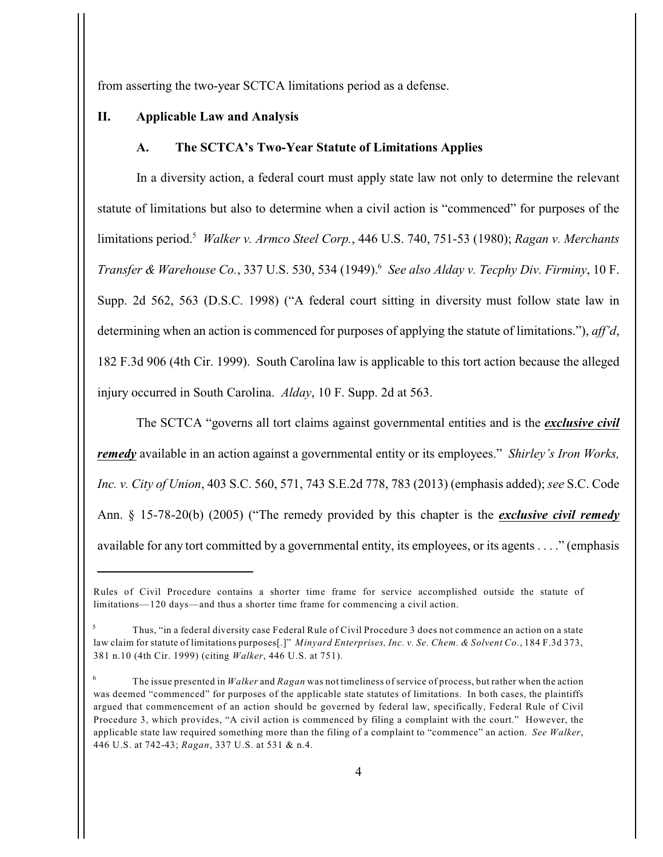from asserting the two-year SCTCA limitations period as a defense.

### **II. Applicable Law and Analysis**

#### **A. The SCTCA's Two-Year Statute of Limitations Applies**

In a diversity action, a federal court must apply state law not only to determine the relevant statute of limitations but also to determine when a civil action is "commenced" for purposes of the limitations period.<sup>5</sup> *Walker v. Armco Steel Corp.*, 446 U.S. 740, 751-53 (1980); *Ragan v. Merchants Transfer & Warehouse Co.*, 337 U.S. 530, 534 (1949). *See also Alday v. Tecphy Div. Firminy*, 10 F. <sup>6</sup> Supp. 2d 562, 563 (D.S.C. 1998) ("A federal court sitting in diversity must follow state law in determining when an action is commenced for purposes of applying the statute of limitations."), *aff'd*, 182 F.3d 906 (4th Cir. 1999). South Carolina law is applicable to this tort action because the alleged injury occurred in South Carolina. *Alday*, 10 F. Supp. 2d at 563.

The SCTCA "governs all tort claims against governmental entities and is the *exclusive civil remedy* available in an action against a governmental entity or its employees." *Shirley's Iron Works, Inc. v. City of Union*, 403 S.C. 560, 571, 743 S.E.2d 778, 783 (2013) (emphasis added); *see* S.C. Code Ann. § 15-78-20(b) (2005) ("The remedy provided by this chapter is the *exclusive civil remedy* available for any tort committed by a governmental entity, its employees, or its agents . . . ." (emphasis

Rules of Civil Procedure contains a shorter time frame for service accomplished outside the statute of limitations—120 days—and thus a shorter time frame for commencing a civil action.

Thus, "in a federal diversity case Federal Rule of Civil Procedure 3 does not commence an action on a state <sup>5</sup> law claim for statute of limitations purposes[.]" *Minyard Enterprises, Inc. v. Se. Chem. & Solvent Co.*, 184 F.3d 373, 381 n.10 (4th Cir. 1999) (citing *Walker*, 446 U.S. at 751).

The issue presented in *Walker* and *Ragan* was not timeliness of service of process, but rather when the action <sup>6</sup> was deemed "commenced" for purposes of the applicable state statutes of limitations. In both cases, the plaintiffs argued that commencement of an action should be governed by federal law, specifically, Federal Rule of Civil Procedure 3, which provides, "A civil action is commenced by filing a complaint with the court." However, the applicable state law required something more than the filing of a complaint to "commence" an action. *See Walker*, 446 U.S. at 742-43; *Ragan*, 337 U.S. at 531 & n.4.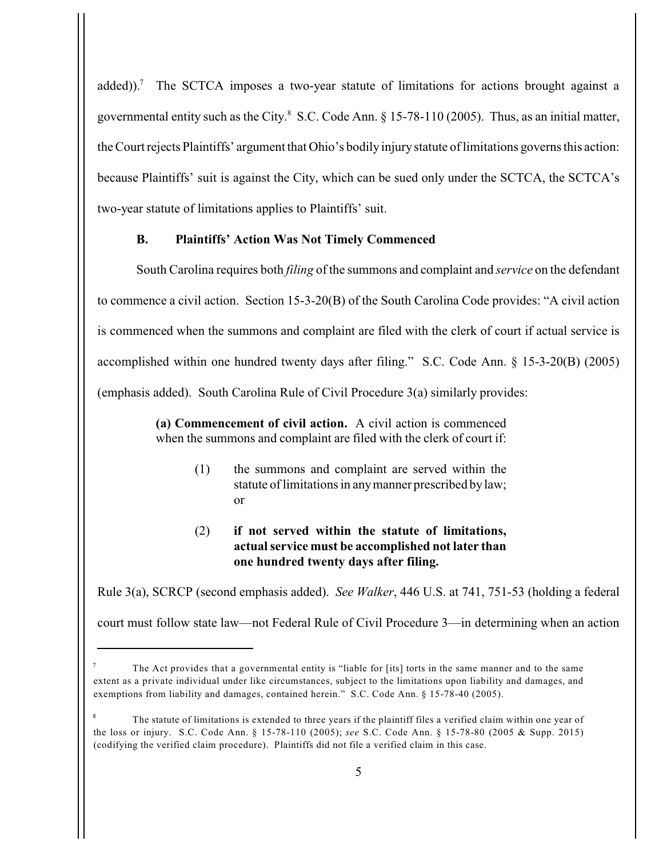added)).<sup>7</sup> The SCTCA imposes a two-year statute of limitations for actions brought against a governmental entity such as the City. $8$  S.C. Code Ann.  $8$  15-78-110 (2005). Thus, as an initial matter, the Court rejects Plaintiffs' argument that Ohio's bodily injury statute of limitations governs this action: because Plaintiffs' suit is against the City, which can be sued only under the SCTCA, the SCTCA's two-year statute of limitations applies to Plaintiffs' suit.

## **B. Plaintiffs' Action Was Not Timely Commenced**

South Carolina requires both *filing* of the summons and complaint and *service* on the defendant to commence a civil action. Section 15-3-20(B) of the South Carolina Code provides: "A civil action is commenced when the summons and complaint are filed with the clerk of court if actual service is accomplished within one hundred twenty days after filing." S.C. Code Ann. § 15-3-20(B) (2005) (emphasis added). South Carolina Rule of Civil Procedure 3(a) similarly provides:

> **(a) Commencement of civil action.** A civil action is commenced when the summons and complaint are filed with the clerk of court if:

> > (1) the summons and complaint are served within the statute of limitations in any manner prescribed by law; or

## (2) **if not served within the statute of limitations, actual service must be accomplished not later than one hundred twenty days after filing.**

Rule 3(a), SCRCP (second emphasis added). *See Walker*, 446 U.S. at 741, 751-53 (holding a federal court must follow state law—not Federal Rule of Civil Procedure 3—in determining when an action

The Act provides that a governmental entity is "liable for [its] torts in the same manner and to the same <sup>7</sup> extent as a private individual under like circumstances, subject to the limitations upon liability and damages, and exemptions from liability and damages, contained herein." S.C. Code Ann. § 15-78-40 (2005).

The statute of limitations is extended to three years if the plaintiff files a verified claim within one year of the loss or injury. S.C. Code Ann. § 15-78-110 (2005); *see* S.C. Code Ann. § 15-78-80 (2005 & Supp. 2015) (codifying the verified claim procedure). Plaintiffs did not file a verified claim in this case.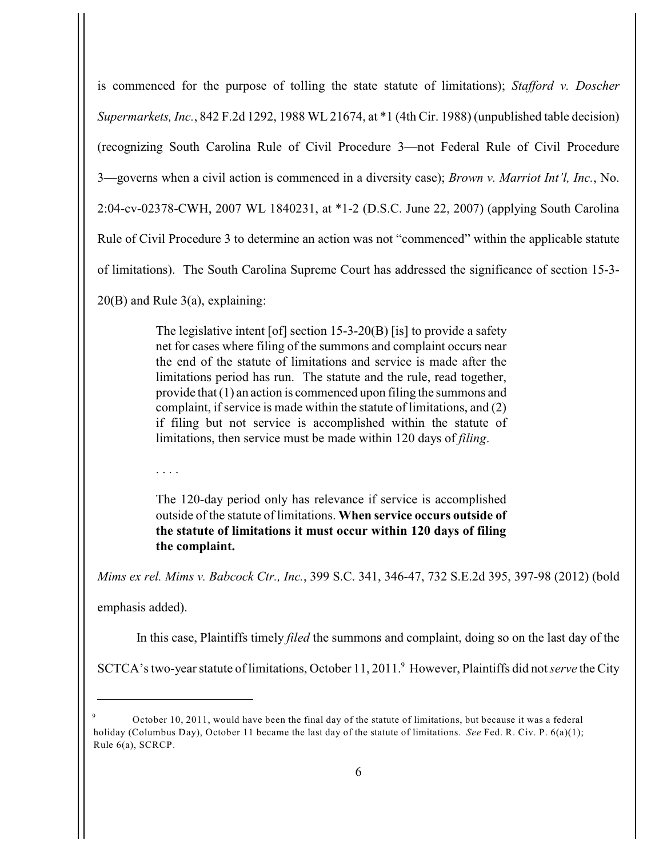is commenced for the purpose of tolling the state statute of limitations); *Stafford v. Doscher Supermarkets, Inc.*, 842 F.2d 1292, 1988 WL 21674, at \*1 (4th Cir. 1988) (unpublished table decision) (recognizing South Carolina Rule of Civil Procedure 3—not Federal Rule of Civil Procedure 3—governs when a civil action is commenced in a diversity case); *Brown v. Marriot Int'l, Inc.*, No. 2:04-cv-02378-CWH, 2007 WL 1840231, at \*1-2 (D.S.C. June 22, 2007) (applying South Carolina Rule of Civil Procedure 3 to determine an action was not "commenced" within the applicable statute of limitations). The South Carolina Supreme Court has addressed the significance of section 15-3-

20(B) and Rule 3(a), explaining:

. . . .

The legislative intent [of] section  $15-3-20(B)$  [is] to provide a safety net for cases where filing of the summons and complaint occurs near the end of the statute of limitations and service is made after the limitations period has run. The statute and the rule, read together, provide that (1) an action is commenced upon filing the summons and complaint, if service is made within the statute of limitations, and (2) if filing but not service is accomplished within the statute of limitations, then service must be made within 120 days of *filing*.

The 120-day period only has relevance if service is accomplished

outside of the statute of limitations. **When service occurs outside of the statute of limitations it must occur within 120 days of filing the complaint.**

*Mims ex rel. Mims v. Babcock Ctr., Inc.*, 399 S.C. 341, 346-47, 732 S.E.2d 395, 397-98 (2012) (bold

emphasis added).

In this case, Plaintiffs timely *filed* the summons and complaint, doing so on the last day of the

SCTCA's two-year statute of limitations, October 11, 2011.<sup>9</sup> However, Plaintiffs did not *serve* the City

October 10, 2011, would have been the final day of the statute of limitations, but because it was a federal <sup>9</sup> holiday (Columbus Day), October 11 became the last day of the statute of limitations. *See* Fed. R. Civ. P. 6(a)(1); Rule 6(a), SCRCP.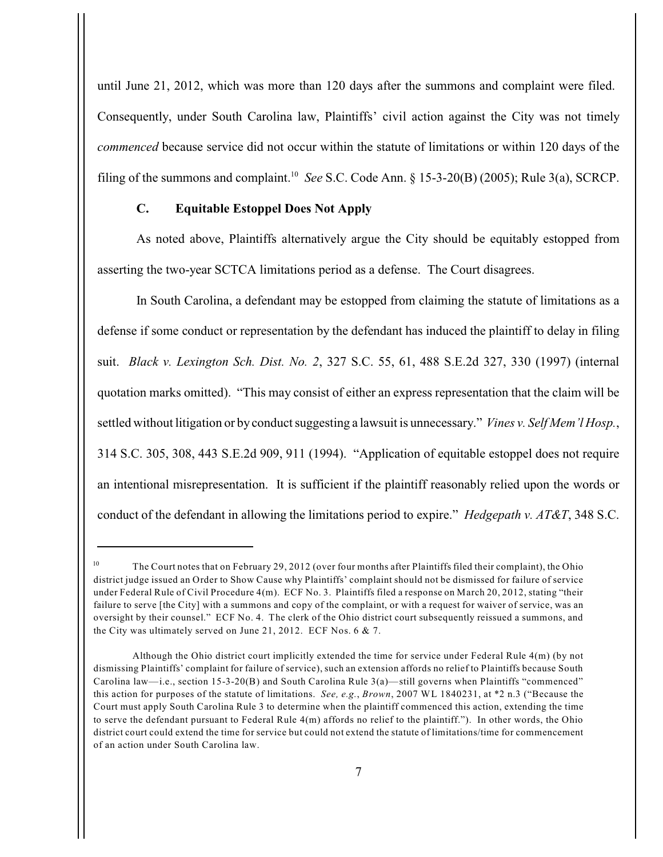until June 21, 2012, which was more than 120 days after the summons and complaint were filed. Consequently, under South Carolina law, Plaintiffs' civil action against the City was not timely *commenced* because service did not occur within the statute of limitations or within 120 days of the filing of the summons and complaint.<sup>10</sup> See S.C. Code Ann.  $\S$  15-3-20(B) (2005); Rule 3(a), SCRCP.

### **C. Equitable Estoppel Does Not Apply**

As noted above, Plaintiffs alternatively argue the City should be equitably estopped from asserting the two-year SCTCA limitations period as a defense. The Court disagrees.

In South Carolina, a defendant may be estopped from claiming the statute of limitations as a defense if some conduct or representation by the defendant has induced the plaintiff to delay in filing suit. *Black v. Lexington Sch. Dist. No. 2*, 327 S.C. 55, 61, 488 S.E.2d 327, 330 (1997) (internal quotation marks omitted). "This may consist of either an express representation that the claim will be settled without litigation or by conduct suggesting a lawsuit is unnecessary." *Vines v. Self Mem'l Hosp.*, 314 S.C. 305, 308, 443 S.E.2d 909, 911 (1994). "Application of equitable estoppel does not require an intentional misrepresentation. It is sufficient if the plaintiff reasonably relied upon the words or conduct of the defendant in allowing the limitations period to expire." *Hedgepath v. AT&T*, 348 S.C.

<sup>&</sup>lt;sup>10</sup> The Court notes that on February 29, 2012 (over four months after Plaintiffs filed their complaint), the Ohio district judge issued an Order to Show Cause why Plaintiffs' complaint should not be dismissed for failure of service under Federal Rule of Civil Procedure 4(m). ECF No. 3. Plaintiffs filed a response on March 20, 2012, stating "their failure to serve [the City] with a summons and copy of the complaint, or with a request for waiver of service, was an oversight by their counsel." ECF No. 4. The clerk of the Ohio district court subsequently reissued a summons, and the City was ultimately served on June 21, 2012. ECF Nos. 6 & 7.

Although the Ohio district court implicitly extended the time for service under Federal Rule 4(m) (by not dismissing Plaintiffs' complaint for failure of service), such an extension affords no relief to Plaintiffs because South Carolina law—i.e., section 15-3-20(B) and South Carolina Rule 3(a)—still governs when Plaintiffs "commenced" this action for purposes of the statute of limitations. *See, e.g.*, *Brown*, 2007 WL 1840231, at \*2 n.3 ("Because the Court must apply South Carolina Rule 3 to determine when the plaintiff commenced this action, extending the time to serve the defendant pursuant to Federal Rule 4(m) affords no relief to the plaintiff."). In other words, the Ohio district court could extend the time for service but could not extend the statute of limitations/time for commencement of an action under South Carolina law.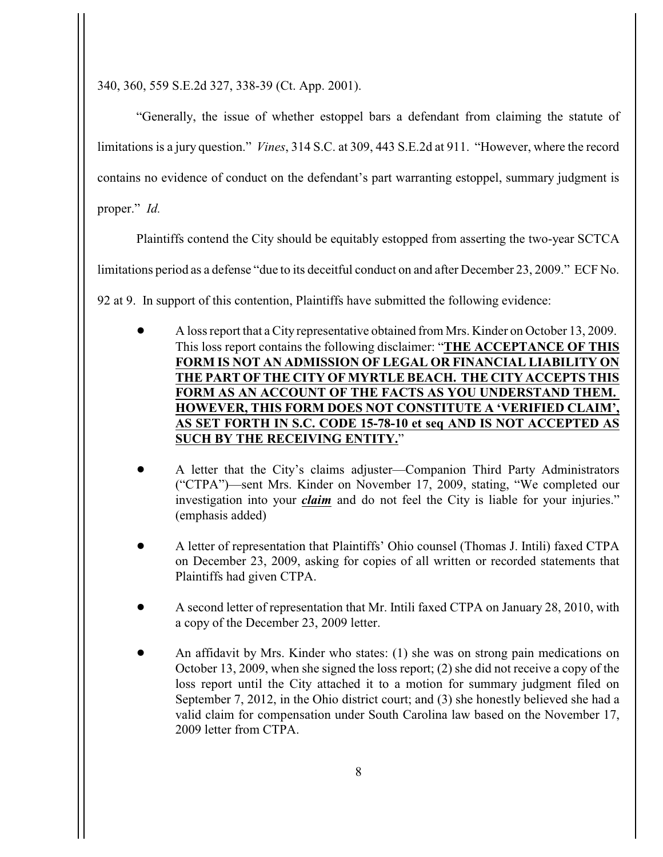340, 360, 559 S.E.2d 327, 338-39 (Ct. App. 2001).

"Generally, the issue of whether estoppel bars a defendant from claiming the statute of limitations is a jury question." *Vines*, 314 S.C. at 309, 443 S.E.2d at 911. "However, where the record contains no evidence of conduct on the defendant's part warranting estoppel, summary judgment is proper." *Id.*

Plaintiffs contend the City should be equitably estopped from asserting the two-year SCTCA

limitations period as a defense "due to its deceitful conduct on and after December 23, 2009." ECF No.

92 at 9. In support of this contention, Plaintiffs have submitted the following evidence:

- ! A loss report that a City representative obtained from Mrs. Kinder on October 13, 2009. This loss report contains the following disclaimer: "**THE ACCEPTANCE OF THIS FORM IS NOT AN ADMISSION OF LEGAL OR FINANCIAL LIABILITY ON THE PART OF THE CITY OF MYRTLE BEACH. THE CITY ACCEPTS THIS FORM AS AN ACCOUNT OF THE FACTS AS YOU UNDERSTAND THEM. HOWEVER, THIS FORM DOES NOT CONSTITUTE A 'VERIFIED CLAIM', AS SET FORTH IN S.C. CODE 15-78-10 et seq AND IS NOT ACCEPTED AS SUCH BY THE RECEIVING ENTITY.**"
- ! A letter that the City's claims adjuster—Companion Third Party Administrators ("CTPA")—sent Mrs. Kinder on November 17, 2009, stating, "We completed our investigation into your *claim* and do not feel the City is liable for your injuries." (emphasis added)
- ! A letter of representation that Plaintiffs' Ohio counsel (Thomas J. Intili) faxed CTPA on December 23, 2009, asking for copies of all written or recorded statements that Plaintiffs had given CTPA.
- ! A second letter of representation that Mr. Intili faxed CTPA on January 28, 2010, with a copy of the December 23, 2009 letter.
- ! An affidavit by Mrs. Kinder who states: (1) she was on strong pain medications on October 13, 2009, when she signed the loss report; (2) she did not receive a copy of the loss report until the City attached it to a motion for summary judgment filed on September 7, 2012, in the Ohio district court; and (3) she honestly believed she had a valid claim for compensation under South Carolina law based on the November 17, 2009 letter from CTPA.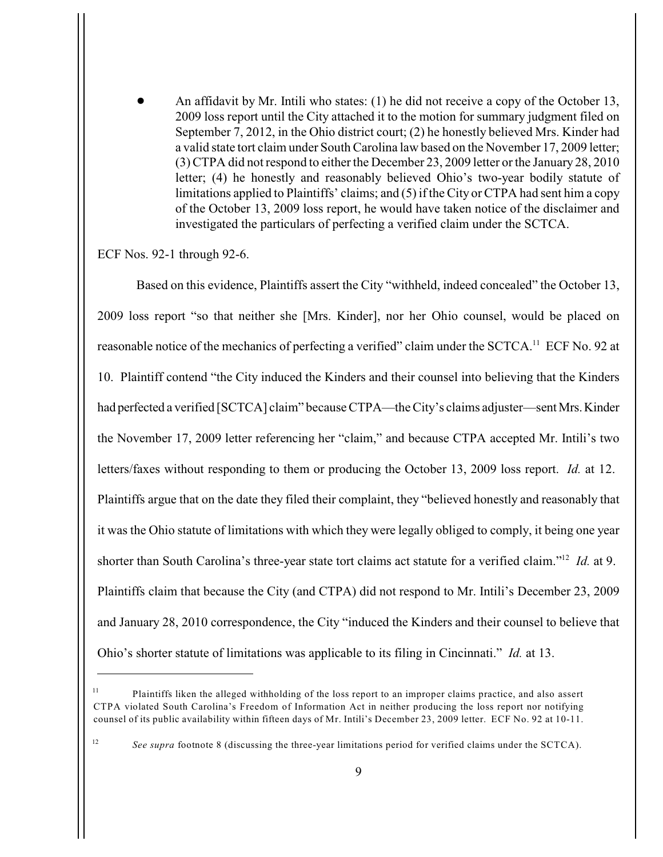! An affidavit by Mr. Intili who states: (1) he did not receive a copy of the October 13, 2009 loss report until the City attached it to the motion for summary judgment filed on September 7, 2012, in the Ohio district court; (2) he honestly believed Mrs. Kinder had a valid state tort claim under South Carolina law based on the November 17, 2009 letter; (3) CTPA did not respond to either the December 23, 2009 letter or the January 28, 2010 letter; (4) he honestly and reasonably believed Ohio's two-year bodily statute of limitations applied to Plaintiffs' claims; and (5) if the City or CTPA had sent him a copy of the October 13, 2009 loss report, he would have taken notice of the disclaimer and investigated the particulars of perfecting a verified claim under the SCTCA.

### ECF Nos. 92-1 through 92-6.

Based on this evidence, Plaintiffs assert the City "withheld, indeed concealed" the October 13, 2009 loss report "so that neither she [Mrs. Kinder], nor her Ohio counsel, would be placed on reasonable notice of the mechanics of perfecting a verified" claim under the SCTCA.<sup>11</sup> ECF No. 92 at 10. Plaintiff contend "the City induced the Kinders and their counsel into believing that the Kinders had perfected a verified [SCTCA] claim" because CTPA—the City's claims adjuster—sent Mrs. Kinder the November 17, 2009 letter referencing her "claim," and because CTPA accepted Mr. Intili's two letters/faxes without responding to them or producing the October 13, 2009 loss report. *Id.* at 12. Plaintiffs argue that on the date they filed their complaint, they "believed honestly and reasonably that it was the Ohio statute of limitations with which they were legally obliged to comply, it being one year shorter than South Carolina's three-year state tort claims act statute for a verified claim."<sup>12</sup> *Id.* at 9. Plaintiffs claim that because the City (and CTPA) did not respond to Mr. Intili's December 23, 2009 and January 28, 2010 correspondence, the City "induced the Kinders and their counsel to believe that Ohio's shorter statute of limitations was applicable to its filing in Cincinnati." *Id.* at 13.

 $P$ laintiffs liken the alleged withholding of the loss report to an improper claims practice, and also assert CTPA violated South Carolina's Freedom of Information Act in neither producing the loss report nor notifying counsel of its public availability within fifteen days of Mr. Intili's December 23, 2009 letter. ECF No. 92 at 10-11.

<sup>&</sup>lt;sup>12</sup> See supra footnote 8 (discussing the three-year limitations period for verified claims under the SCTCA).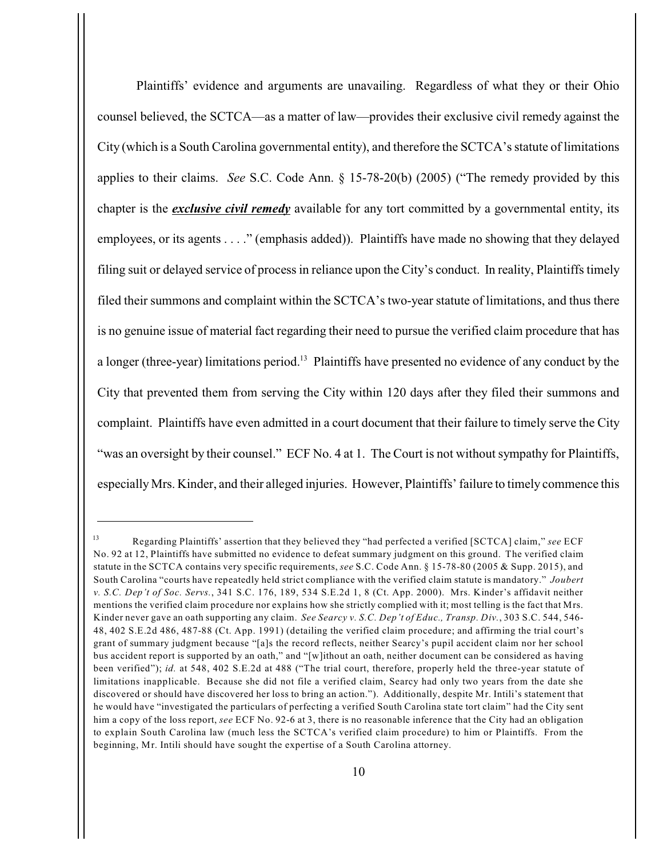Plaintiffs' evidence and arguments are unavailing. Regardless of what they or their Ohio counsel believed, the SCTCA—as a matter of law—provides their exclusive civil remedy against the City (which is a South Carolina governmental entity), and therefore the SCTCA's statute of limitations applies to their claims. *See* S.C. Code Ann. § 15-78-20(b) (2005) ("The remedy provided by this chapter is the *exclusive civil remedy* available for any tort committed by a governmental entity, its employees, or its agents . . . ." (emphasis added)). Plaintiffs have made no showing that they delayed filing suit or delayed service of process in reliance upon the City's conduct. In reality, Plaintiffs timely filed their summons and complaint within the SCTCA's two-year statute of limitations, and thus there is no genuine issue of material fact regarding their need to pursue the verified claim procedure that has a longer (three-year) limitations period.<sup>13</sup> Plaintiffs have presented no evidence of any conduct by the City that prevented them from serving the City within 120 days after they filed their summons and complaint. Plaintiffs have even admitted in a court document that their failure to timely serve the City "was an oversight by their counsel." ECF No. 4 at 1. The Court is not without sympathy for Plaintiffs, especially Mrs. Kinder, and their alleged injuries. However, Plaintiffs' failure to timely commence this

Regarding Plaintiffs' assertion that they believed they "had perfected a verified [SCTCA] claim," *see* ECF <sup>13</sup> No. 92 at 12, Plaintiffs have submitted no evidence to defeat summary judgment on this ground. The verified claim statute in the SCTCA contains very specific requirements, *see* S.C. Code Ann. § 15-78-80 (2005 & Supp. 2015), and South Carolina "courts have repeatedly held strict compliance with the verified claim statute is mandatory." *Joubert v. S.C. Dep't of Soc. Servs.*, 341 S.C. 176, 189, 534 S.E.2d 1, 8 (Ct. App. 2000). Mrs. Kinder's affidavit neither mentions the verified claim procedure nor explains how she strictly complied with it; most telling is the fact that Mrs. Kinder never gave an oath supporting any claim. *See Searcy v. S.C. Dep't of Educ., Transp. Div.*, 303 S.C. 544, 546- 48, 402 S.E.2d 486, 487-88 (Ct. App. 1991) (detailing the verified claim procedure; and affirming the trial court's grant of summary judgment because "[a]s the record reflects, neither Searcy's pupil accident claim nor her school bus accident report is supported by an oath," and "[w]ithout an oath, neither document can be considered as having been verified"); *id.* at 548, 402 S.E.2d at 488 ("The trial court, therefore, properly held the three-year statute of limitations inapplicable. Because she did not file a verified claim, Searcy had only two years from the date she discovered or should have discovered her loss to bring an action."). Additionally, despite Mr. Intili's statement that he would have "investigated the particulars of perfecting a verified South Carolina state tort claim" had the City sent him a copy of the loss report, *see* ECF No. 92-6 at 3, there is no reasonable inference that the City had an obligation to explain South Carolina law (much less the SCTCA's verified claim procedure) to him or Plaintiffs. From the beginning, Mr. Intili should have sought the expertise of a South Carolina attorney.